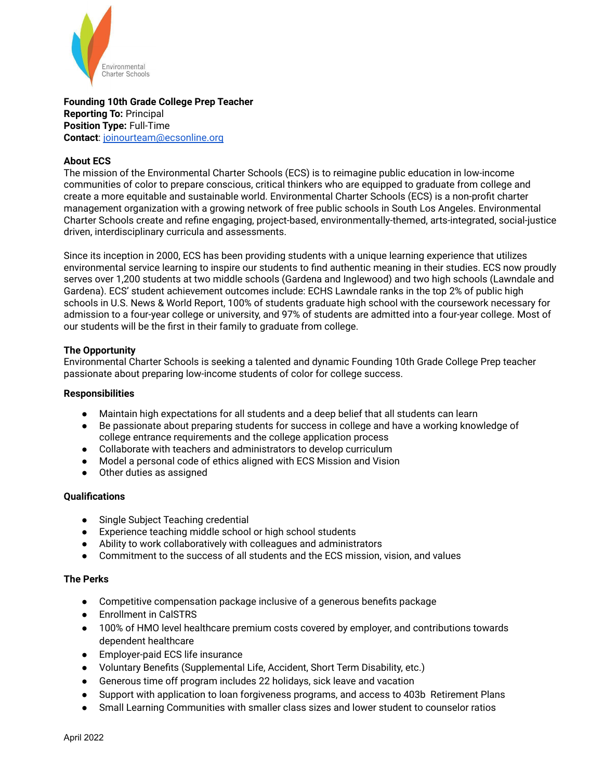

**Founding 10th Grade College Prep Teacher Reporting To:** Principal **Position Type:** Full-Time **Contact**: joinourteam@ecsonline.org

# **About ECS**

The mission of the Environmental Charter Schools (ECS) is to reimagine public education in low-income communities of color to prepare conscious, critical thinkers who are equipped to graduate from college and create a more equitable and sustainable world. Environmental Charter Schools (ECS) is a non-profit charter management organization with a growing network of free public schools in South Los Angeles. Environmental Charter Schools create and refine engaging, project-based, environmentally-themed, arts-integrated, social-justice driven, interdisciplinary curricula and assessments.

Since its inception in 2000, ECS has been providing students with a unique learning experience that utilizes environmental service learning to inspire our students to find authentic meaning in their studies. ECS now proudly serves over 1,200 students at two middle schools (Gardena and Inglewood) and two high schools (Lawndale and Gardena). ECS' student achievement outcomes include: ECHS Lawndale ranks in the top 2% of public high schools in U.S. News & World Report, 100% of students graduate high school with the coursework necessary for admission to a four-year college or university, and 97% of students are admitted into a four-year college. Most of our students will be the first in their family to graduate from college.

## **The Opportunity**

Environmental Charter Schools is seeking a talented and dynamic Founding 10th Grade College Prep teacher passionate about preparing low-income students of color for college success.

### **Responsibilities**

- Maintain high expectations for all students and a deep belief that all students can learn
- Be passionate about preparing students for success in college and have a working knowledge of college entrance requirements and the college application process
- Collaborate with teachers and administrators to develop curriculum
- Model a personal code of ethics aligned with ECS Mission and Vision
- Other duties as assigned

## **Qualifications**

- Single Subject Teaching credential
- Experience teaching middle school or high school students
- Ability to work collaboratively with colleagues and administrators
- Commitment to the success of all students and the ECS mission, vision, and values

## **The Perks**

- Competitive compensation package inclusive of a generous benefits package
- Enrollment in CalSTRS
- 100% of HMO level healthcare premium costs covered by employer, and contributions towards dependent healthcare
- Employer-paid ECS life insurance
- Voluntary Benefits (Supplemental Life, Accident, Short Term Disability, etc.)
- Generous time off program includes 22 holidays, sick leave and vacation
- Support with application to loan forgiveness programs, and access to 403b Retirement Plans
- Small Learning Communities with smaller class sizes and lower student to counselor ratios